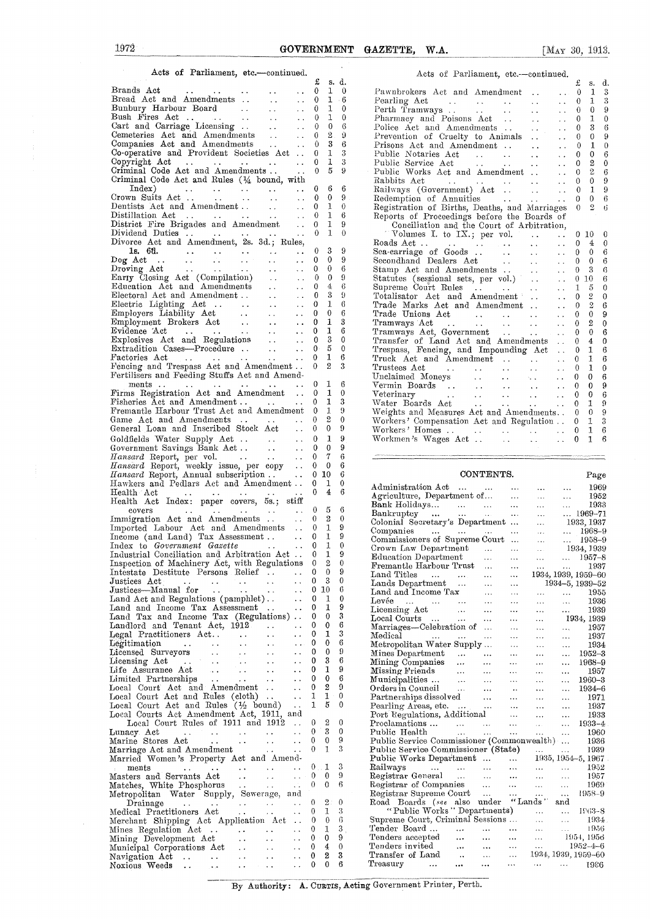### Acts of Parliament, etc.—continued.  $\begin{array}{cc} \texttt{f} & \texttt{s. d.} \\ \texttt{0} & \texttt{1} & \texttt{0} \end{array}$ Brands Act  $\begin{array}{ccccccccc}\n\text{Brands Act} & \dots & \dots & \dots & \dots & 0 & 1 & 0 \\
\text{Bread Act and Amedments} & \dots & \dots & 0 & 1 & 6 \\
\text{Brahun} & \text{Buchr} & \text{Bend} & \text{Bend} & \text{Bend} & \text{Bend}$ Bunbury Harbour Board 0 1 0 Perth Tramways .. .. 0 0 9 Bush Fires Act .. 0 1 0 Pharmacy and Poisons Act .. 0 1 <sup>0</sup> Cart and Carriage, Licensing .. 0 0 6 Police Act and Amendments .. 0 3 6 Cemeteries Act and Amendments .. 0 2 9 Prevention of Cruelty to Animals 0 0 9 Companies Act and Amendments .. .. 0 2 9 Prevention of Cruelty to Animals .. .. 0 0 9<br>Companies Act and Amendment .. ... 0 1 0<br>Companies Act and Amendment ... ... 0 1 0 Co-operative and Provident Societies Act .. 0 1 3 Public Notaries Act .. .. .. 0 0 6<br>Co-operative and Provident Societies Act .. .. 0 1 3 Public Service Act ... .. .. 0 2 0<br>Copyright Act ... ... ... 0 1 3 Public Service Ac Criminal Code Act and Amendments .. 0 5 9 Public Works Act and Amendment 0 2 6 Criminal Code Act and Rules (1/4 bound, with Rabbits Act .. .. 0 0 9 Crown Suits Act .. 0 0 9 Redemption of Annuities .... .. 0 0 6 Dentists Act and Amendment .. 0 1. 0 Registration of Births, Deaths, and Marriages M 0 2 6 Dentists Act and Amendment . . . . . . 0 1 0 Registration of Births, Deaths, and Marriages<br>Distillation Act . . . . . . . . . . 0 1 6 Reports of Proceedings before the Boards of<br>District Fire Brigades and Amendment . . 0 1 District Fire Brigades and Amendment, 0 1 9 Conciliation and the Court of Arbitration, Dividend Duties .. 0 1 0 " Volumes I. to IX.; per vol. 0 10 0 Divorce Act and Amendment, 2s. 3d.; Rules, ls. 6t1. 0 3 <sup>9</sup> Dog Act .. 0 0 9 Secondhand Dealers Act .. 0 0 6 Droving Act 0 0 6 Stamp Act and Amendments .. 0 3 6 Early Closing Act (Compilation) 0 0 9 Statutes (sessional sets, per vol.) 0 10 6 Education Act and Amendments 0 4 6 Supreme Court Rules .. .. 1 5 0 Electoral Act and Amendment .. 0 3 9 Totalisator Act and Amendment 0 2 0 Electric Lighting Act 0 1 6 Trade Marks Act and Amendment 0 2 6 Employers Liability Act 0 0 6 Trade Unions Act .. 0 0 9 Employment Brokers Act .. 0 1 3 Tramways Act .. .. 0 2 0 Evidence Act .. 0 1 6 Tramways Act, Government .. .. • • 0 0 6 Explosives Act and Regulations 0 3 0 Transfer of Land Act and Amendments • • 0 4 0 Explosives Act and Regulations ... .. 0 5 0 Transfer of Land Act and Amendments .. 0 4 0<br>Extradition Cases—Procedure ... ... 0 5 0 Trespass, Fencing, and Impounding Act .. 0 1 6 Factories Act .. 0 1 6 Truck Act and Amendment .. .. • . 0 1 6 Fencing and Trespass Act and Amendment .. 0 2 3 Trustees Act .. .. .. .. .. 0 1 0<br>Fertilisers and Feeding Stuffs Act and Amend-<br>Unclaimed Moneys .. .. .. 0 0 6 6 Firms Registration Act and Amendment .. 0 1 0 Veterinary .. 0 0 6 Fisheries Act and Amendment .. 0 1 3 Water Boards Act 0 1 <sup>9</sup> Fremantle Harbour Trust Act and Amendment 0 1 9 Weights and Measures Act and Amendments.. 0 0 9 Game Act and Amendments .. 0 2 0 Workers' Compensation Act and Regulation .. 0 1 3 General Loan and Inscribed Stock Act ... 0 2 0 Workers' Compensation Act and Regulation ... 0 1 3<br>Goldfields Water Supply Act ... ... 0 1 9 Workmen's Wages Act ... ... ... 0 1 6 Goldfields Water Supply Act ... ... 0 1 9<br>Government Savings Bank Act ... ... 0 0 9<br>Hansard Report, per vol. ... ... 0 7 6 *Hansard* Report, per vol. . 0 7 6 *Hansard* Report, weekly issue, per copy .. 0 0 6 *Hansard* Report, Annual subscription .. 0 10 6 CONTENTS. Page Hawkers and Pedlars Act and Amendment .. Health Act Health Act Index: paper covers, 5s.; stiff covers Immigration Act and Amendments ..  $\Omega$ 0 0 0 0  $\begin{smallmatrix} 0 & 10 \\ 0 & 1 \end{smallmatrix}$ 4 5  $\frac{2}{1}$  $\Omega$ 6 6 0 9<br>9 Inspection of Machinery Act, with Regulations 0 2 0<br>Intestate Destitute Persons Relief ... 0 0 9<br>Justices Act 0 3 0 Local Courts Act Amendment Act, 1911, and<br>
Local Court Rules of 1911 and 1912 .. 0 2 0 Local Court Rules of 1911 and  $1912$  ...  $0 \quad 2 \quad 0$ <br>1902 Act Married Women's Property Act and Amendments  $\cdots$   $\cdots$   $\cdots$   $\cdots$   $\cdots$   $\cdots$   $\cdots$   $\cdots$   $\cdots$   $\cdots$   $\cdots$   $\cdots$   $\cdots$   $\cdots$   $\cdots$   $\cdots$   $\cdots$   $\cdots$   $\cdots$   $\cdots$   $\cdots$   $\cdots$   $\cdots$   $\cdots$   $\cdots$   $\cdots$   $\cdots$   $\cdots$   $\cdots$   $\cdots$   $\cdots$   $\cdots$   $\cdots$   $\cdots$   $\cdots$   $\cdots$

# Acts of Parliament, etc.--continued.  $\begin{array}{ccc} \texttt{\pounds} & \texttt{s.} & \texttt{d.} \\ 0 & 1 & 3 \end{array}$ Index) 0 6 6 Railways (Government) Act .. .. .. 0 1 9 Roads Act .. .. .. .. .. .. 0 10 0<br>
Roads Act .. .. .. .. .. .. 0 4 0<br>
Sea-carriage of Goods .. .. .. 0 0 6 ments and reeding Sturis Act and Amend-<br>ments ... ... .. .. .. 0 0 6<br>c. Distriction Act and Amendment ... 0 1 6 Vermin Boards ... ... ... ... .. 0 0 9

| Hawkers and Pedlars Act and Amendment                                                                                                                               | 0            | ı                 | $^{(1)}$     | Administration Act<br>1969<br>$\sim$ $\sim$ $\sim$                                                                                                                                                                                                                                                                                                         |  |
|---------------------------------------------------------------------------------------------------------------------------------------------------------------------|--------------|-------------------|--------------|------------------------------------------------------------------------------------------------------------------------------------------------------------------------------------------------------------------------------------------------------------------------------------------------------------------------------------------------------------|--|
| Health Act<br>$\ddot{\phantom{0}}$<br>$\sim$ $\sim$                                                                                                                 | $\bf{0}$     | 4                 | 6            | Agriculture, Department of<br>1952<br>$\ldots$                                                                                                                                                                                                                                                                                                             |  |
| Health Act Index: paper covers, 5s.; stiff                                                                                                                          |              |                   |              | $\cdots$<br>$\ddotsc$<br>1933<br>Bank Holidays<br>$\sim 10^{-11}$<br>$\ddotsc$<br>$\cdots$                                                                                                                                                                                                                                                                 |  |
| covers                                                                                                                                                              | $\Omega$     | 5                 | 6            | Bankruptcy<br>$ 1969 - 71$<br><b>Service</b><br>$\cdots$                                                                                                                                                                                                                                                                                                   |  |
| Immigration Act and Amendments<br>$\sim$ $\sim$                                                                                                                     | $\bf{0}$     | $\overline{2}$    | $\theta$     | Colonial Secretary's Department<br>1933, 1937<br>$\ddotsc$                                                                                                                                                                                                                                                                                                 |  |
| Imported Labour Act and Amendments<br>$\ddotsc$                                                                                                                     | $\mathbf{0}$ | $\mathbf{1}$      | 9            | Companies<br>1968-9                                                                                                                                                                                                                                                                                                                                        |  |
| Income (and Land) Tax Assessment<br>$\sim 100$ km s $^{-1}$                                                                                                         | $\theta$     | 1                 | 9            | and the same state of the same<br>$\mathbf{r}$ and $\mathbf{r}$<br>$\bar{\mathbf{r}}$ .<br>Commissioners of Supreme Court<br>1958-9                                                                                                                                                                                                                        |  |
| Index to Government Gasette<br>$\ddots$<br>$\ddotsc$                                                                                                                | $\mathbf{0}$ | 1                 | $\theta$     | $\dddotsc$<br>$\cdots$<br>Crown Law Department<br>$\mathbf{r}$ . The state $\mathbf{r}$<br>$\mathcal{L}_{\mathcal{A}}$ .                                                                                                                                                                                                                                   |  |
| Industrial Conciliation and Arbitration Act                                                                                                                         | 0            | $\mathbf{I}$      | 9            | 1934, 1939<br>$\cdots$                                                                                                                                                                                                                                                                                                                                     |  |
| Inspection of Machinery Act, with Regulations                                                                                                                       | $\Omega$     | $\overline{2}$    | $\theta$     | Education Department<br>$\mathcal{L}_{\mathbf{z}}$ , $\mathcal{L}_{\mathbf{z}}$ , $\mathcal{L}_{\mathbf{z}}$<br>$1957 - 8$<br>$\ddotsc$<br>$\cdots$<br>$\sim$ .                                                                                                                                                                                            |  |
| Intestate Destitute Persons Relief                                                                                                                                  | $\Omega$     | $\Omega$          | 9            | Fremantle Harbour Trust<br>1937<br>$\cdots$<br>$\cdots$<br>$\ddot{\phantom{a}}$<br>$\ddotsc$                                                                                                                                                                                                                                                               |  |
| Justices Act                                                                                                                                                        | $\bf{0}$     | 3                 | $\theta$     | Land Titles<br>1934, 1939, 1959-60<br><b>Contractor</b><br>$\ddotsc$<br>$\cdots$<br>$\mathbf{z} \in \mathbf{z}$ , $\mathbf{z} \in \mathbb{R}$                                                                                                                                                                                                              |  |
| $\mathbf{L}^{\mathbf{L}}$ and $\mathbf{L}^{\mathbf{L}}$ .<br>and the state of the state<br>$\ddot{\phantom{a}}$<br>Justices---Manual for<br>$\sim 100$ km s $^{-1}$ | $\mathbf{0}$ | 10                | 6            | Lands Department<br>1934-5, 1939-52<br>$\ddotsc$<br>$\cdots$                                                                                                                                                                                                                                                                                               |  |
| <b>Contract Contract</b><br>$\ddot{\phantom{a}}$                                                                                                                    | $\mathbf{0}$ |                   | $\mathbf{0}$ | Land and Income Tax<br>1955<br>$\cdots$<br>$\ddotsc$<br>$\cdots$<br>$\cdots$                                                                                                                                                                                                                                                                               |  |
| Land Act and Regulations (pamphlet)<br>$\ddotsc$                                                                                                                    |              | 1<br>$\mathbf{1}$ | 9            | Levée<br>1936<br>$\mathcal{L}_{\mathcal{F}}$ , and $\mathcal{L}_{\mathcal{F}}$ , and $\mathcal{L}_{\mathcal{F}}$<br>$\cdots$<br>$\cdots$<br>$\cdots$<br>$\sim$                                                                                                                                                                                             |  |
| Land and Income Tax Assessment<br>$\sim$<br>$\ddot{\phantom{a}}$                                                                                                    | $\Omega$     |                   |              | Licensing Act<br>1939<br>$\cdots$<br>$\cdots$<br>$\cdots$<br>$\cdots$                                                                                                                                                                                                                                                                                      |  |
| Land Tax and Income Tax (Regulations)                                                                                                                               | 0            | $\theta$          | 3            | Local Courts<br>1934, 1939<br><b>Contract Contract</b><br>$\cdots$<br>$\cdots$<br>$\cdots$                                                                                                                                                                                                                                                                 |  |
| Landlord and Tenant Act, 1912<br>$\ddot{\phantom{a}}$<br>$\sim$ $\sim$                                                                                              | 0            | 0                 | 6            | Marriages-Celebration of<br>1957<br>$\ddotsc$<br>$\mathbf{r}$<br>$\cdots$                                                                                                                                                                                                                                                                                  |  |
| Legal Practitioners Act<br>$\sim$ $\sim$<br>$\sim$ $\sim$                                                                                                           | 0            | $\mathbf{1}$      | 3            | Medical<br>1937<br><b>Sales Contract</b><br><b>Service Contract</b><br>$\cdots$<br>$\cdots$<br>$\ddotsc$                                                                                                                                                                                                                                                   |  |
| Legitimation<br>$\sim 10^{-10}$ m $^{-1}$<br>$\sim 10^{-1}$<br><b>Contractor</b><br>$\ddotsc$<br>$\ddot{\phantom{a}}$                                               | 0            | $\mathbf{0}$      | 6            | Metropolitan Water Supply<br>1934<br>$\ldots$<br>$\cdots$<br>$\ddotsc$                                                                                                                                                                                                                                                                                     |  |
| Licensed Surveyors<br>$\sim 10^{-1}$<br>$\ddot{\phantom{a}}$<br>$\sim$ $\sim$<br>$\ddot{\phantom{0}}$                                                               | $\Omega$     | $\Omega$          | 9            | Mines Department<br>$1952 - 3$<br>$\sim 10^{-11}$<br>$\cdots$<br>$\cdots$<br>$\cdots$<br>$\ddotsc$                                                                                                                                                                                                                                                         |  |
| $\sim 100$<br>$\sim$ $\sim$                                                                                                                                         | 0            | 3                 | 6            | Mining Companies<br>1968-9<br>$\mathbf{r}$<br>$\cdots$<br>$\cdots$<br>$\cdots$<br>$\cdots$                                                                                                                                                                                                                                                                 |  |
| $\sim 10^{11}$ km s $^{-1}$<br>$\sim$ $\sim$<br>$\ddot{\phantom{a}}$                                                                                                | 0            | 1                 | 9            | Missing Friends<br>1957<br>$\ldots$<br>$\cdots$<br>$\cdots$<br>$\ldots$<br>$\cdots$                                                                                                                                                                                                                                                                        |  |
| Limited Partnerships<br>$\sim 100$ km s $^{-1}$<br><b>Contract</b><br>$\ddot{\phantom{0}}$<br>$\ddotsc$                                                             | 0            | $\mathbf 0$       | 6            | Municipalities<br>1960-3<br>$\sim 10^{-10}$<br>$\cdots$<br>$\cdots$<br>$\cdots$<br>$\cdots$                                                                                                                                                                                                                                                                |  |
| Local Court Act and Amendment<br>$\ddot{\phantom{a}}$                                                                                                               | $\mathbf{0}$ | $\mathbf{2}$      | 9            | Orders in Council<br>$1934 - 6$<br>$\cdots$<br>$\bullet\bullet$<br>$\ddotsc$<br>$\cdots$                                                                                                                                                                                                                                                                   |  |
| Local Court Act and Rules (cloth)<br>$\ddot{\phantom{a}}$                                                                                                           | 1            | $\mathbf{1}$      | $\theta$     | Partnerships dissolved<br>1971<br>$\cdots$<br>$\cdots$<br>$\cdots$<br>$\cdots$                                                                                                                                                                                                                                                                             |  |
| Local Court Act and Rules $(\frac{1}{2}$ bound)<br>$\ddot{\phantom{a}}$                                                                                             | 1            | 5                 | $\theta$     | Pearling Areas, etc.<br>1937<br>$\ddotsc$<br>$\cdots$<br>$\cdots$                                                                                                                                                                                                                                                                                          |  |
| Local Courts Act Amendment Act, 1911, and                                                                                                                           |              |                   |              | Port Regulations, Additional<br>1933<br>$\cdots$<br>$\sim$ $\sim$<br>$\ddotsc$                                                                                                                                                                                                                                                                             |  |
| Local Court Rules of 1911 and 1912                                                                                                                                  | 0            | 2                 | $\mathbf 0$  | Proclamations<br>$1933 - 4$<br>$\cdots$<br>$\mathcal{L}_{\text{max}}$<br>$\ddotsc$                                                                                                                                                                                                                                                                         |  |
| Lunacy Act<br>and the contract of the contract of<br>$\sim 10^{-1}$<br>$\ddot{\phantom{1}}$                                                                         | $\Omega$     | 3                 | $\theta$     | Public Health<br>1960<br>$\mathbf{r}$ and $\mathbf{r}$ are all $\mathbf{r}$ and $\mathbf{r}$ are all $\mathbf{r}$<br>$\mathbf{1}$<br>$\cdots$<br>$\ddotsc$                                                                                                                                                                                                 |  |
| Marine Stores Act<br><b><i>Contract Contract Services</i></b><br>$\ddot{\phantom{a}}$<br>$\sim 100$ km s $^{-1}$                                                    | $\Omega$     | $\theta$          | 9            | Public Service Commissioner (Commonwealth)<br>1936                                                                                                                                                                                                                                                                                                         |  |
| Marriage Act and Amendment                                                                                                                                          |              |                   | 3            | Public Service Commissioner (State)<br>1939<br><b>Sales Common</b><br>$\ddotsc$                                                                                                                                                                                                                                                                            |  |
| Married Women's Property Act and Amend-                                                                                                                             |              |                   |              | Public Works Department<br>1935, 1954-5, 1967<br>$\mathbf{1.1.}$                                                                                                                                                                                                                                                                                           |  |
|                                                                                                                                                                     | 0            | 1                 | 3            | Railways                                                                                                                                                                                                                                                                                                                                                   |  |
| ments<br>$\sim$ $\sim$<br>$\ddot{\phantom{1}}$                                                                                                                      | $\Omega$     | $\mathbf{0}$      | 9            | 1952<br>$\mathbf{1}_{\mathbf{1}}\mathbf{1}_{\mathbf{1}}$ , $\mathbf{1}_{\mathbf{1}}\mathbf{1}_{\mathbf{1}}$ , $\mathbf{1}_{\mathbf{1}}\mathbf{1}_{\mathbf{1}}$ , $\mathbf{1}_{\mathbf{1}}\mathbf{1}_{\mathbf{1}}$<br>$\mathbf{1}$ and $\mathbf{1}$ and $\mathbf{1}$<br>$\ddotsc$<br>$\cdots$ .<br><br><br><br><br><br><br><br><br><br><br><br><br>$\cdots$ |  |
| Masters and Servants Act<br>$\mathbf{r}$ , $\mathbf{r}$ , $\mathbf{r}$<br>$\sim$ 100 $\sim$<br>$\sim$ $\sim$                                                        |              | $\Omega$          |              | Registrar General<br>1957<br>$\cdots$<br>$\cdots$                                                                                                                                                                                                                                                                                                          |  |
| Matches, White Phosphorus<br><b>Carl College</b>                                                                                                                    | $\Omega$     |                   | 6            | Registrar of Companies<br>1969<br><b>Sales Control</b><br>$\sim 10^{-1}$<br>$\ddotsc$<br>$\cdots$                                                                                                                                                                                                                                                          |  |
| Metropolitan Water Supply, Sewerage,<br>and                                                                                                                         |              |                   |              | Registrar Supreme Court<br>1958-9<br>$\cdots$<br><b>ARACIO</b><br>$\cdots$                                                                                                                                                                                                                                                                                 |  |
| Drainage<br>and the state of the state<br>and a strategic control of<br>$\sim$ $\sim$                                                                               | $\Omega$     | $\mathbf{2}$      | $\Omega$     | Road Boards (see also under "Lands"<br>and                                                                                                                                                                                                                                                                                                                 |  |
| Medical Practitioners Act<br>$\sim 10$<br>$\sim$ $\sim$ $\sim$<br>$\ddotsc$                                                                                         | $\Omega$     | 1                 | 3            | "Public Works" Departments)<br>1963-8<br>$\ddotsc$<br>$\ddotsc$                                                                                                                                                                                                                                                                                            |  |
| Merchant Shipping Act Application Act                                                                                                                               | $^{0}$       | $\theta$          | 6            | Supreme Court, Criminal Sessions<br>1934<br>$\cdots$<br>$\cdots$                                                                                                                                                                                                                                                                                           |  |
| Mines Regulation Act<br>$\mathbf{r}$ . The set of $\mathbf{r}$<br>$\ddot{\phantom{a}}$<br>$\sim$ $\sim$<br>$\sim$ $\sim$                                            | $^{0}$       | $\mathbf{1}$      | 3            | Tender Board<br>1956<br><b>Address Contract</b><br>and the state<br>$\bar{1}$ , $\bar{1}$<br>$\ldots$<br>$\ldots$                                                                                                                                                                                                                                          |  |
| Mining Development Act<br>$\ddot{\phantom{a}}$<br>$\sim$ $\sim$<br>$\ddot{\phantom{a}}$                                                                             | $\Omega$     | 0                 | 9            | Tenders accepted<br>1954, 1956<br>$\ddotsc$<br>$\cdots$<br>$\cdots$<br>$\cdots$                                                                                                                                                                                                                                                                            |  |
| Municipal Corporations Act<br>$\sim$ $\sim$<br>$\ddot{\phantom{0}}$                                                                                                 | 0            | $\overline{4}$    | $\theta$     | Tenders invited<br>$1952 - 4 - 6$<br>$\sim$<br>$\ddotsc$<br>$\cdots$<br>$\sim$ $\sim$ $\sim$                                                                                                                                                                                                                                                               |  |
| Navigation Act<br>$\ddot{\phantom{0}}$<br>$\sim$ $\sim$<br>$\ddot{\phantom{a}}$                                                                                     | 0            | $\overline{2}$    | 3            | Transfer of Land<br>1934, 1939, 1959–60<br>$\ldots$<br>$\sim 100$ km $^{-1}$<br>$\ldots$                                                                                                                                                                                                                                                                   |  |
| Noxious Weeds<br>$\ddotsc$<br>$\cdots$<br>$\ddot{\phantom{a}}$                                                                                                      |              | 0                 | 6            | Treasury<br>1986<br>saw of the same of<br>$\sim 10^{-10}$ and $\sim 10^{-10}$<br>$\cdots$<br>$\cdots$<br>$\cdots$                                                                                                                                                                                                                                          |  |
|                                                                                                                                                                     |              |                   |              |                                                                                                                                                                                                                                                                                                                                                            |  |

By Authority: A. CURTIS, Acting Government Printer, Perth.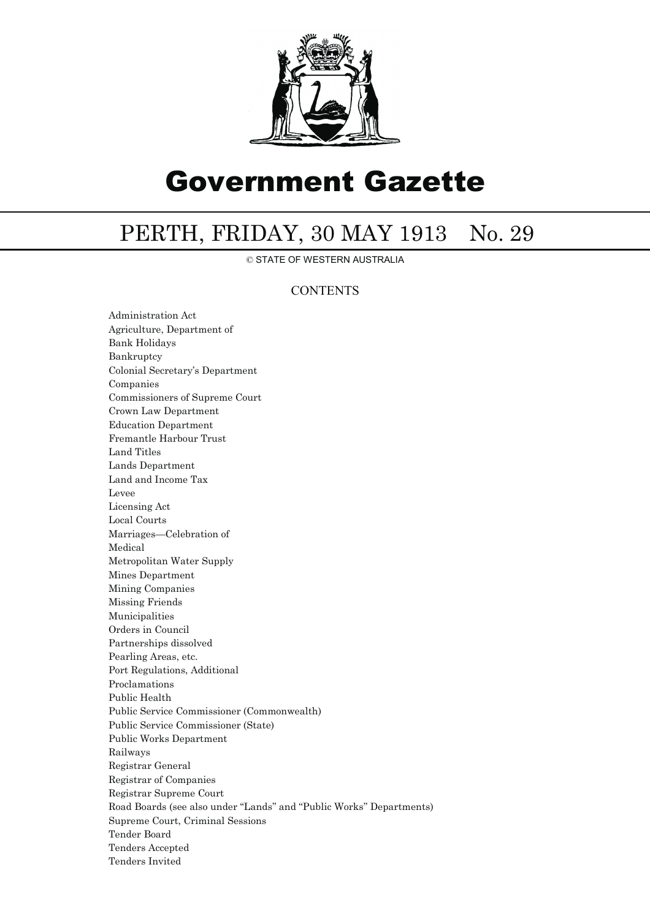

# Government Gazette

## PERTH, FRIDAY, 30 MAY 1913 No. 29

© STATE OF WESTERN AUSTRALIA

#### **CONTENTS**

Administration Act Agriculture, Department of Bank Holidays Bankruptcy Colonial Secretary's Department Companies Commissioners of Supreme Court Crown Law Department Education Department Fremantle Harbour Trust Land Titles Lands Department Land and Income Tax Levee Licensing Act Local Courts Marriages—Celebration of Medical Metropolitan Water Supply Mines Department Mining Companies Missing Friends Municipalities Orders in Council Partnerships dissolved Pearling Areas, etc. Port Regulations, Additional Proclamations Public Health Public Service Commissioner (Commonwealth) Public Service Commissioner (State) Public Works Department Railways Registrar General Registrar of Companies Registrar Supreme Court Road Boards (see also under ''Lands'' and ''Public Works'' Departments) Supreme Court, Criminal Sessions Tender Board Tenders Accepted Tenders Invited